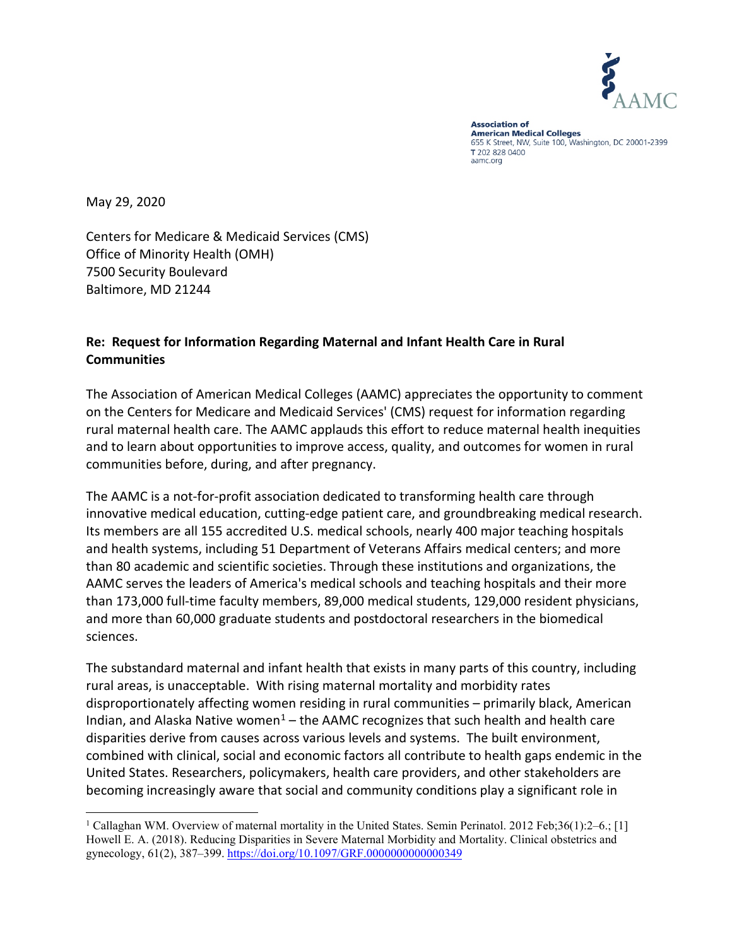

**Association of American Medical Colleges** 655 K Street, NW, Suite 100, Washington, DC 20001-2399 T 202 828 0400 aamc.org

May 29, 2020

Centers for Medicare & Medicaid Services (CMS) Office of Minority Health (OMH) 7500 Security Boulevard Baltimore, MD 21244

## **Re: Request for Information Regarding Maternal and Infant Health Care in Rural Communities**

The Association of American Medical Colleges (AAMC) appreciates the opportunity to comment on the Centers for Medicare and Medicaid Services' (CMS) request for information regarding rural maternal health care. The AAMC applauds this effort to reduce maternal health inequities and to learn about opportunities to improve access, quality, and outcomes for women in rural communities before, during, and after pregnancy.

The AAMC is a not-for-profit association dedicated to transforming health care through innovative medical education, cutting-edge patient care, and groundbreaking medical research. Its members are all 155 accredited U.S. medical schools, nearly 400 major teaching hospitals and health systems, including 51 Department of Veterans Affairs medical centers; and more than 80 academic and scientific societies. Through these institutions and organizations, the AAMC serves the leaders of America's medical schools and teaching hospitals and their more than 173,000 full-time faculty members, 89,000 medical students, 129,000 resident physicians, and more than 60,000 graduate students and postdoctoral researchers in the biomedical sciences.

The substandard maternal and infant health that exists in many parts of this country, including rural areas, is unacceptable. With rising maternal mortality and morbidity rates disproportionately affecting women residing in rural communities – primarily black, American Indian, and Alaska Native women<sup>[1](#page-0-0)</sup> – the AAMC recognizes that such health and health care disparities derive from causes across various levels and systems. The built environment, combined with clinical, social and economic factors all contribute to health gaps endemic in the United States. Researchers, policymakers, health care providers, and other stakeholders are becoming increasingly aware that social and community conditions play a significant role in

<span id="page-0-0"></span><sup>&</sup>lt;sup>1</sup> Callaghan WM. Overview of maternal mortality in the United States. Semin Perinatol. 2012 Feb;36(1):2–6.; [1] Howell E. A. (2018). Reducing Disparities in Severe Maternal Morbidity and Mortality. Clinical obstetrics and gynecology, 61(2), 387-399.<https://doi.org/10.1097/GRF.0000000000000349>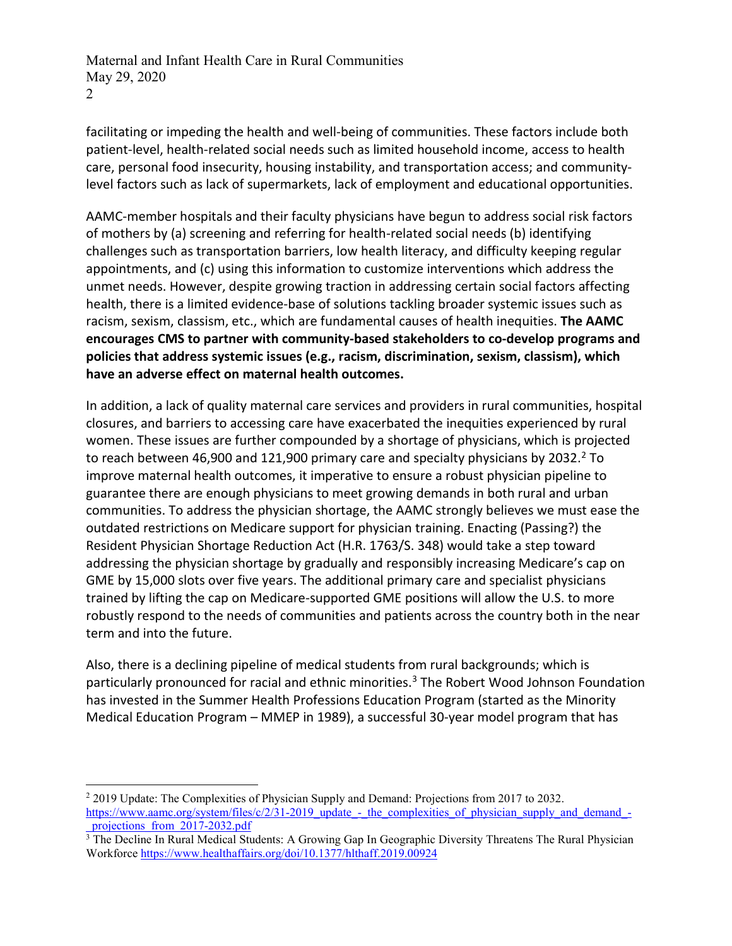facilitating or impeding the health and well-being of communities. These factors include both patient-level, health-related social needs such as limited household income, access to health care, personal food insecurity, housing instability, and transportation access; and communitylevel factors such as lack of supermarkets, lack of employment and educational opportunities.

AAMC-member hospitals and their faculty physicians have begun to address social risk factors of mothers by (a) screening and referring for health-related social needs (b) identifying challenges such as transportation barriers, low health literacy, and difficulty keeping regular appointments, and (c) using this information to customize interventions which address the unmet needs. However, despite growing traction in addressing certain social factors affecting health, there is a limited evidence-base of solutions tackling broader systemic issues such as racism, sexism, classism, etc., which are fundamental causes of health inequities. **The AAMC encourages CMS to partner with community-based stakeholders to co-develop programs and policies that address systemic issues (e.g., racism, discrimination, sexism, classism), which have an adverse effect on maternal health outcomes.** 

In addition, a lack of quality maternal care services and providers in rural communities, hospital closures, and barriers to accessing care have exacerbated the inequities experienced by rural women. These issues are further compounded by a shortage of physicians, which is projected to reach between 46,900 and 121,900 primary care and specialty physicians by 2032.<sup>2</sup> To improve maternal health outcomes, it imperative to ensure a robust physician pipeline to guarantee there are enough physicians to meet growing demands in both rural and urban communities. To address the physician shortage, the AAMC strongly believes we must ease the outdated restrictions on Medicare support for physician training. Enacting (Passing?) the Resident Physician Shortage Reduction Act (H.R. 1763/S. 348) would take a step toward addressing the physician shortage by gradually and responsibly increasing Medicare's cap on GME by 15,000 slots over five years. The additional primary care and specialist physicians trained by lifting the cap on Medicare-supported GME positions will allow the U.S. to more robustly respond to the needs of communities and patients across the country both in the near term and into the future.

Also, there is a declining pipeline of medical students from rural backgrounds; which is particularly pronounced for racial and ethnic minorities.<sup>[3](#page-1-1)</sup> The Robert Wood Johnson Foundation has invested in the Summer Health Professions Education Program (started as the Minority Medical Education Program – MMEP in 1989), a successful 30-year model program that has

<span id="page-1-0"></span><sup>&</sup>lt;sup>2</sup> 2019 Update: The Complexities of Physician Supply and Demand: Projections from 2017 to 2032. [https://www.aamc.org/system/files/c/2/31-2019\\_update\\_-\\_the\\_complexities\\_of\\_physician\\_supply\\_and\\_demand\\_](https://www.aamc.org/system/files/c/2/31-2019_update_-_the_complexities_of_physician_supply_and_demand_-_projections_from_2017-2032.pdf) projections from 2017-2032.pdf

<span id="page-1-1"></span><sup>&</sup>lt;sup>3</sup> The Decline In Rural Medical Students: A Growing Gap In Geographic Diversity Threatens The Rural Physician Workforce<https://www.healthaffairs.org/doi/10.1377/hlthaff.2019.00924>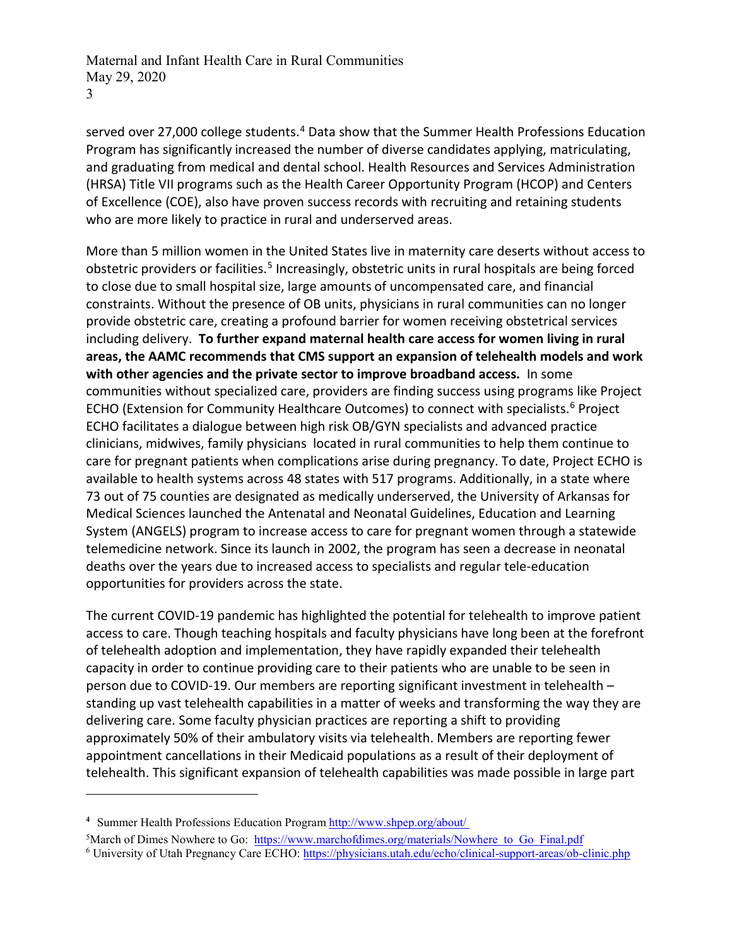served over 27,000 college students.<sup>[4](#page-2-0)</sup> Data show that the Summer Health Professions Education Program has significantly increased the number of diverse candidates applying, matriculating, and graduating from medical and dental school. Health Resources and Services Administration (HRSA) Title VII programs such as the Health Career Opportunity Program (HCOP) and Centers of Excellence (COE), also have proven success records with recruiting and retaining students who are more likely to practice in rural and underserved areas.

More than 5 million women in the United States live in maternity care deserts without access to obstetric providers or facilities.<sup>[5](#page-2-1)</sup> Increasingly, obstetric units in rural hospitals are being forced to close due to small hospital size, large amounts of uncompensated care, and financial constraints. Without the presence of OB units, physicians in rural communities can no longer provide obstetric care, creating a profound barrier for women receiving obstetrical services including delivery. **To further expand maternal health care access for women living in rural areas, the AAMC recommends that CMS support an expansion of telehealth models and work with other agencies and the private sector to improve broadband access.** In some communities without specialized care, providers are finding success using programs like Project ECHO (Extension for Community Healthcare Outcomes) to connect with specialists.<sup>[6](#page-2-2)</sup> Project ECHO facilitates a dialogue between high risk OB/GYN specialists and advanced practice clinicians, midwives, family physicians located in rural communities to help them continue to care for pregnant patients when complications arise during pregnancy. To date, Project ECHO is available to health systems across 48 states with 517 programs. Additionally, in a state where 73 out of 75 counties are designated as medically underserved, the University of Arkansas for Medical Sciences launched the Antenatal and Neonatal Guidelines, Education and Learning System (ANGELS) program to increase access to care for pregnant women through a statewide telemedicine network. Since its launch in 2002, the program has seen a decrease in neonatal deaths over the years due to increased access to specialists and regular tele-education opportunities for providers across the state.

The current COVID-19 pandemic has highlighted the potential for telehealth to improve patient access to care. Though teaching hospitals and faculty physicians have long been at the forefront of telehealth adoption and implementation, they have rapidly expanded their telehealth capacity in order to continue providing care to their patients who are unable to be seen in person due to COVID-19. Our members are reporting significant investment in telehealth – standing up vast telehealth capabilities in a matter of weeks and transforming the way they are delivering care. Some faculty physician practices are reporting a shift to providing approximately 50% of their ambulatory visits via telehealth. Members are reporting fewer appointment cancellations in their Medicaid populations as a result of their deployment of telehealth. This significant expansion of telehealth capabilities was made possible in large part

 $\overline{a}$ 

<span id="page-2-0"></span>**<sup>4</sup>** Summer Health Professions Education Program<http://www.shpep.org/about/>

<span id="page-2-1"></span><sup>&</sup>lt;sup>5</sup>March of Dimes Nowhere to Go: [https://www.marchofdimes.org/materials/Nowhere\\_to\\_Go\\_Final.pdf](https://www.marchofdimes.org/materials/Nowhere_to_Go_Final.pdf)

<span id="page-2-2"></span><sup>6</sup> University of Utah Pregnancy Care ECHO:<https://physicians.utah.edu/echo/clinical-support-areas/ob-clinic.php>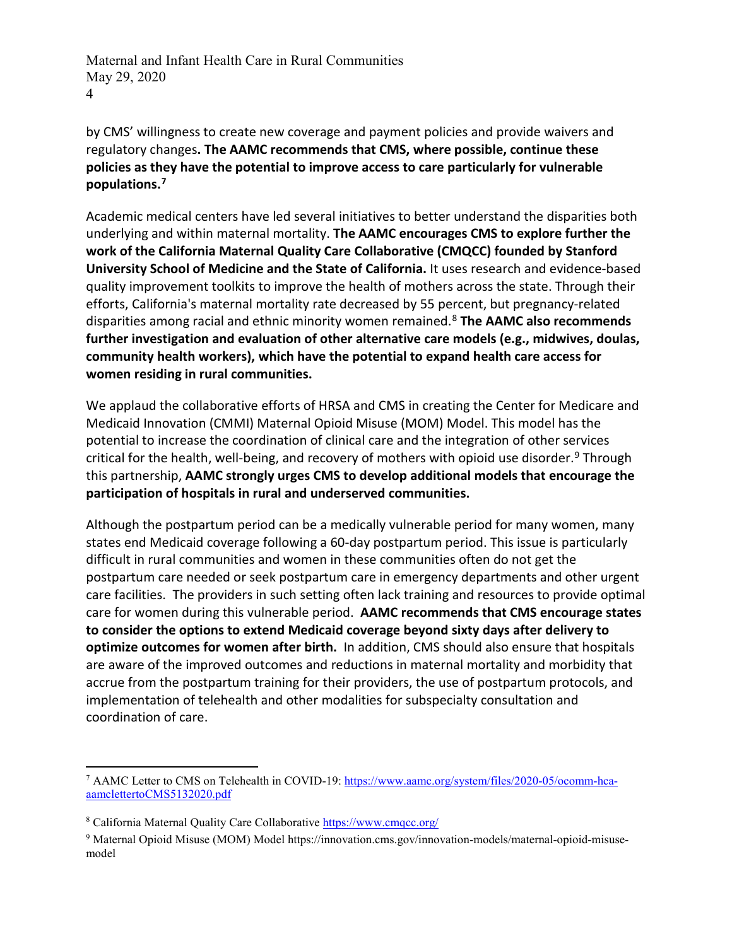by CMS' willingness to create new coverage and payment policies and provide waivers and regulatory changes**. The AAMC recommends that CMS, where possible, continue these policies as they have the potential to improve access to care particularly for vulnerable populations.[7](#page-3-0)**

Academic medical centers have led several initiatives to better understand the disparities both underlying and within maternal mortality. **The AAMC encourages CMS to explore further the work of the California Maternal Quality Care Collaborative (CMQCC) founded by Stanford University School of Medicine and the State of California.** It uses research and evidence-based quality improvement toolkits to improve the health of mothers across the state. Through their efforts, California's maternal mortality rate decreased by 55 percent, but pregnancy-related disparities among racial and ethnic minority women remained.[8](#page-3-1) **The AAMC also recommends further investigation and evaluation of other alternative care models (e.g., midwives, doulas, community health workers), which have the potential to expand health care access for women residing in rural communities.** 

We applaud the collaborative efforts of HRSA and CMS in creating the Center for Medicare and Medicaid Innovation (CMMI) Maternal Opioid Misuse (MOM) Model. This model has the potential to increase the coordination of clinical care and the integration of other services critical for the health, well-being, and recovery of mothers with opioid use disorder.<sup>[9](#page-3-2)</sup> Through this partnership, **AAMC strongly urges CMS to develop additional models that encourage the participation of hospitals in rural and underserved communities.**

Although the postpartum period can be a medically vulnerable period for many women, many states end Medicaid coverage following a 60-day postpartum period. This issue is particularly difficult in rural communities and women in these communities often do not get the postpartum care needed or seek postpartum care in emergency departments and other urgent care facilities. The providers in such setting often lack training and resources to provide optimal care for women during this vulnerable period. **AAMC recommends that CMS encourage states to consider the options to extend Medicaid coverage beyond sixty days after delivery to optimize outcomes for women after birth.** In addition, CMS should also ensure that hospitals are aware of the improved outcomes and reductions in maternal mortality and morbidity that accrue from the postpartum training for their providers, the use of postpartum protocols, and implementation of telehealth and other modalities for subspecialty consultation and coordination of care.

<span id="page-3-0"></span><sup>&</sup>lt;sup>7</sup> AAMC Letter to CMS on Telehealth in COVID-19: [https://www.aamc.org/system/files/2020-05/ocomm-hca](https://www.aamc.org/system/files/2020-05/ocomm-hca-aamclettertoCMS5132020.pdf)[aamclettertoCMS5132020.pdf](https://www.aamc.org/system/files/2020-05/ocomm-hca-aamclettertoCMS5132020.pdf)

<span id="page-3-1"></span><sup>8</sup> California Maternal Quality Care Collaborative<https://www.cmqcc.org/>

<span id="page-3-2"></span><sup>&</sup>lt;sup>9</sup> Maternal Opioid Misuse (MOM) Model https://innovation.cms.gov/innovation-models/maternal-opioid-misusemodel